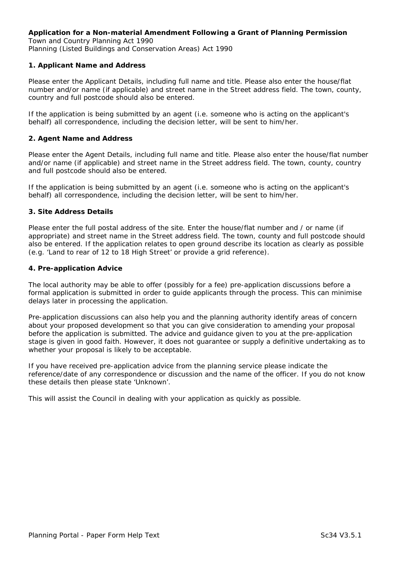#### **Application for a Non-material Amendment Following a Grant of Planning Permission**  *Town and Country Planning Act 1990 Planning (Listed Buildings and Conservation Areas) Act 1990*

## **1. Applicant Name and Address**

Please enter the Applicant Details, including full name and title. Please also enter the house/flat number and/or name (if applicable) and street name in the Street address field. The town, county, country and full postcode should also be entered.

If the application is being submitted by an agent (i.e. someone who is acting on the applicant's behalf) all correspondence, including the decision letter, will be sent to him/her.

### **2. Agent Name and Address**

Please enter the Agent Details, including full name and title. Please also enter the house/flat number and/or name (if applicable) and street name in the Street address field. The town, county, country and full postcode should also be entered.

If the application is being submitted by an agent (i.e. someone who is acting on the applicant's behalf) all correspondence, including the decision letter, will be sent to him/her.

#### **3. Site Address Details**

Please enter the full postal address of the site. Enter the house/flat number and / or name (if appropriate) and street name in the Street address field. The town, county and full postcode should also be entered. If the application relates to open ground describe its location as clearly as possible (e.g. '*Land to rear of 12 to 18 High Street'* or provide a grid reference).

#### **4. Pre-application Advice**

The local authority may be able to offer (possibly for a fee) pre-application discussions before a formal application is submitted in order to guide applicants through the process. This can minimise delays later in processing the application.

Pre-application discussions can also help you and the planning authority identify areas of concern about your proposed development so that you can give consideration to amending your proposal before the application is submitted. The advice and guidance given to you at the pre-application stage is given in good faith. However, it does not guarantee or supply a definitive undertaking as to whether your proposal is likely to be acceptable.

If you have received pre-application advice from the planning service please indicate the reference/date of any correspondence or discussion and the name of the officer. If you do not know these details then please state '*Unknown*'.

This will assist the Council in dealing with your application as quickly as possible.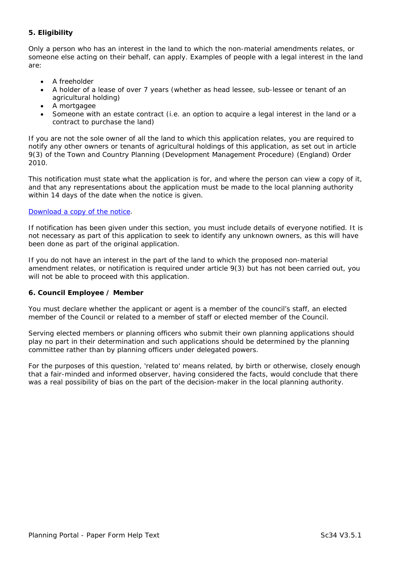# **5. Eligibility**

Only a person who has an interest in the land to which the non-material amendments relates, or someone else acting on their behalf, can apply. Examples of people with a legal interest in the land are:

- A freeholder
- A holder of a lease of over 7 years (whether as head lessee, sub-lessee or tenant of an agricultural holding)
- A mortgagee
- Someone with an estate contract (i.e. an option to acquire a legal interest in the land or a contract to purchase the land)

If you are not the sole owner of all the land to which this application relates, you are required to notify any other owners or tenants of agricultural holdings of this application, as set out in article 9(3) of the Town and Country Planning (Development Management Procedure) (England) Order 2010.

This notification must state what the application is for, and where the person can view a copy of it, and that any representations about the application must be made to the local planning authority within 14 days of the date when the notice is given.

### [Download a copy of the notice.](http://www.planningportal.gov.uk/uploads/nma_notice.pdf)

If notification has been given under this section, you must include details of everyone notified. It is not necessary as part of this application to seek to identify any unknown owners, as this will have been done as part of the original application.

If you do not have an interest in the part of the land to which the proposed non-material amendment relates, or notification is required under article 9(3) but has not been carried out, you will not be able to proceed with this application.

### **6. Council Employee / Member**

You must declare whether the applicant or agent is a member of the council's staff, an elected member of the Council or related to a member of staff or elected member of the Council.

Serving elected members or planning officers who submit their own planning applications should play no part in their determination and such applications should be determined by the planning committee rather than by planning officers under delegated powers.

For the purposes of this question, 'related to' means related, by birth or otherwise, closely enough that a fair-minded and informed observer, having considered the facts, would conclude that there was a real possibility of bias on the part of the decision-maker in the local planning authority.